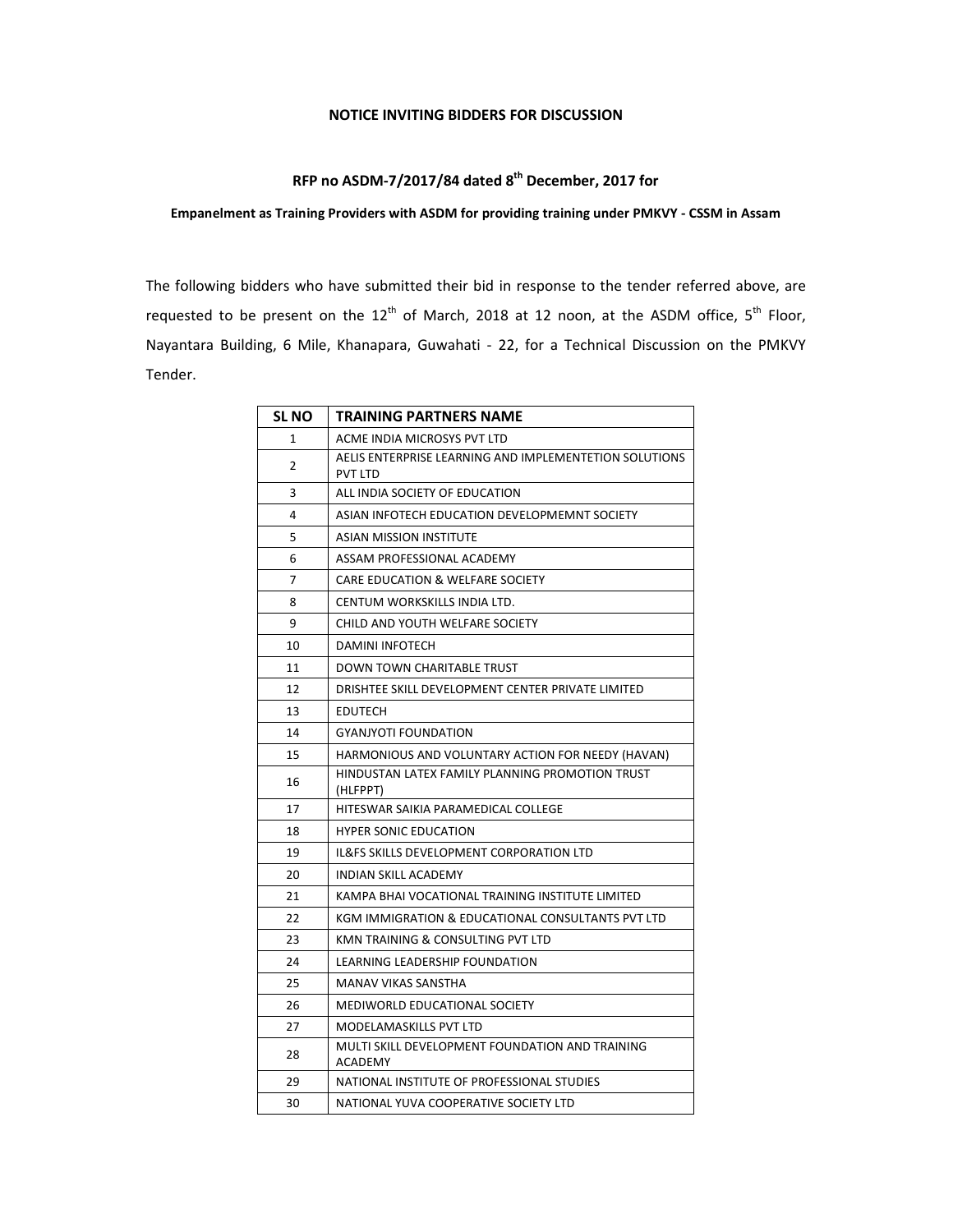## **NOTICE INVITING BIDDERS FOR DISCUSSION**

## **RFP no ASDM-7/2017/84 dated 8th December, 2017 for**

## **Empanelment as Training Providers with ASDM for providing training under PMKVY - CSSM in Assam**

The following bidders who have submitted their bid in response to the tender referred above, are requested to be present on the  $12<sup>th</sup>$  of March, 2018 at 12 noon, at the ASDM office,  $5<sup>th</sup>$  Floor, Nayantara Building, 6 Mile, Khanapara, Guwahati - 22, for a Technical Discussion on the PMKVY Tender.

| <b>SL NO</b> | TRAINING PARTNERS NAME                                                   |
|--------------|--------------------------------------------------------------------------|
| 1            | ACME INDIA MICROSYS PVT LTD                                              |
| 2            | AELIS ENTERPRISE LEARNING AND IMPLEMENTETION SOLUTIONS<br><b>PVT LTD</b> |
| 3            | ALL INDIA SOCIETY OF EDUCATION                                           |
| 4            | ASIAN INFOTECH EDUCATION DEVELOPMEMNT SOCIETY                            |
| 5            | ASIAN MISSION INSTITUTE                                                  |
| 6            | ASSAM PROFESSIONAL ACADEMY                                               |
| 7            | CARE EDUCATION & WELFARE SOCIETY                                         |
| 8            | CENTUM WORKSKILLS INDIA LTD.                                             |
| 9            | CHILD AND YOUTH WELFARE SOCIETY                                          |
| 10           | <b>DAMINI INFOTECH</b>                                                   |
| 11           | DOWN TOWN CHARITABLE TRUST                                               |
| 12           | DRISHTEE SKILL DEVELOPMENT CENTER PRIVATE LIMITED                        |
| 13           | <b>EDUTECH</b>                                                           |
| 14           | <b>GYANJYOTI FOUNDATION</b>                                              |
| 15           | HARMONIOUS AND VOLUNTARY ACTION FOR NEEDY (HAVAN)                        |
| 16           | HINDUSTAN LATEX FAMILY PLANNING PROMOTION TRUST<br>(HLFPPT)              |
| 17           | HITESWAR SAIKIA PARAMEDICAL COLLEGE                                      |
| 18           | <b>HYPER SONIC EDUCATION</b>                                             |
| 19           | IL&FS SKILLS DEVELOPMENT CORPORATION LTD                                 |
| 20           | INDIAN SKILL ACADEMY                                                     |
| 21           | KAMPA BHAI VOCATIONAL TRAINING INSTITUTE LIMITED                         |
| 22           | KGM IMMIGRATION & EDUCATIONAL CONSULTANTS PVT LTD                        |
| 23           | KMN TRAINING & CONSULTING PVT LTD                                        |
| 24           | LEARNING LEADERSHIP FOUNDATION                                           |
| 25           | <b>MANAV VIKAS SANSTHA</b>                                               |
| 26           | MEDIWORLD EDUCATIONAL SOCIETY                                            |
| 27           | <b>MODELAMASKILLS PVT LTD</b>                                            |
| 28           | MULTI SKILL DEVELOPMENT FOUNDATION AND TRAINING<br>ACADEMY               |
| 29           | NATIONAL INSTITUTE OF PROFESSIONAL STUDIES                               |
| 30           | NATIONAL YUVA COOPERATIVE SOCIETY LTD                                    |